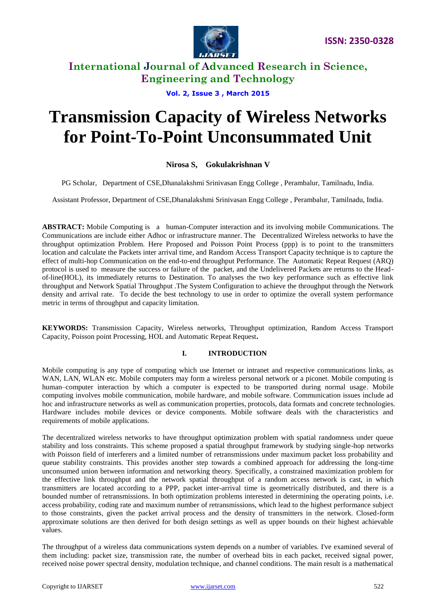

**Vol. 2, Issue 3 , March 2015**

# **Transmission Capacity of Wireless Networks for Point-To-Point Unconsummated Unit**

## **Nirosa S, Gokulakrishnan V**

PG Scholar, Department of CSE,Dhanalakshmi Srinivasan Engg College , Perambalur, Tamilnadu, India.

Assistant Professor, Department of CSE,Dhanalakshmi Srinivasan Engg College , Perambalur, Tamilnadu, India.

**ABSTRACT:** Mobile Computing is a human-Computer interaction and its involving mobile Communications. The Communications are include either Adhoc or infrastructure manner. The Decentralized Wireless networks to have the throughput optimization Problem. Here Proposed and Poisson Point Process (ppp) is to point to the transmitters location and calculate the Packets inter arrival time, and Random Access Transport Capacity technique is to capture the effect of multi-hop Communication on the end-to-end throughput Performance. The Automatic Repeat Request (ARQ) protocol is used to measure the success or failure of the packet, and the Undelivered Packets are returns to the Headof-line(HOL), its immediately returns to Destination. To analyses the two key performance such as effective link throughput and Network Spatial Throughput .The System Configuration to achieve the throughput through the Network density and arrival rate. To decide the best technology to use in order to optimize the overall system performance metric in terms of throughput and capacity limitation.

**KEYWORDS:** Transmission Capacity, Wireless networks, Throughput optimization, Random Access Transport Capacity, Poisson point Processing, HOL and Automatic Repeat Request**.**

#### **I. INTRODUCTION**

Mobile computing is any type of computing which use Internet or intranet and respective communications links, as WAN, LAN, WLAN etc. Mobile computers may form a wireless personal network or a piconet. Mobile computing is human–computer interaction by which a computer is expected to be transported during normal usage. Mobile computing involves mobile communication, mobile hardware, and mobile software. Communication issues include ad hoc and infrastructure networks as well as communication properties, protocols, data formats and concrete technologies. Hardware includes mobile devices or device components. Mobile software deals with the characteristics and requirements of mobile applications.

The decentralized wireless networks to have throughput optimization problem with spatial randomness under queue stability and loss constraints. This scheme proposed a spatial throughput framework by studying single-hop networks with Poisson field of interferers and a limited number of retransmissions under maximum packet loss probability and queue stability constraints. This provides another step towards a combined approach for addressing the long-time unconsumed union between information and networking theory. Specifically, a constrained maximization problem for the effective link throughput and the network spatial throughput of a random access network is cast, in which transmitters are located according to a PPP, packet inter-arrival time is geometrically distributed, and there is a bounded number of retransmissions. In both optimization problems interested in determining the operating points, i.e. access probability, coding rate and maximum number of retransmissions, which lead to the highest performance subject to those constraints, given the packet arrival process and the density of transmitters in the network. Closed-form approximate solutions are then derived for both design settings as well as upper bounds on their highest achievable values.

The throughput of a wireless data communications system depends on a number of variables. I've examined several of them including: packet size, transmission rate, the number of overhead bits in each packet, received signal power, received noise power spectral density, modulation technique, and channel conditions. The main result is a mathematical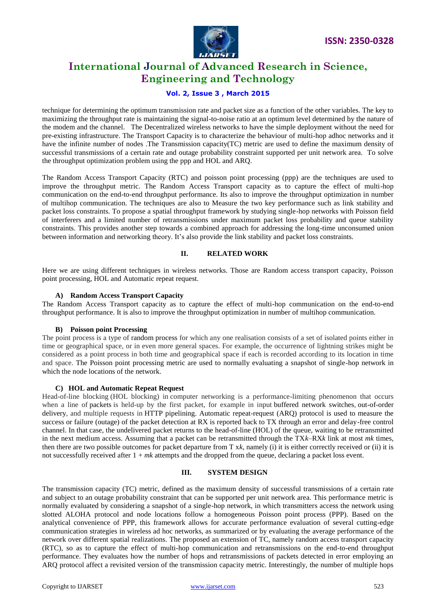

### **Vol. 2, Issue 3 , March 2015**

technique for determining the optimum transmission rate and packet size as a function of the other variables. The key to maximizing the throughput rate is maintaining the signal-to-noise ratio at an optimum level determined by the nature of the modem and the channel. The Decentralized wireless networks to have the simple deployment without the need for pre-existing infrastructure. The Transport Capacity is to characterize the behaviour of multi-hop adhoc networks and it have the infinite number of nodes .The Transmission capacity(TC) metric are used to define the maximum density of successful transmissions of a certain rate and outage probability constraint supported per unit network area. To solve the throughput optimization problem using the ppp and HOL and ARQ.

The Random Access Transport Capacity (RTC) and poisson point processing (ppp) are the techniques are used to improve the throughput metric. The Random Access Transport capacity as to capture the effect of multi-hop communication on the end-to-end throughput performance. Its also to improve the throughput optimization in number of multihop communication. The techniques are also to Measure the two key performance such as link stability and packet loss constraints. To propose a spatial throughput framework by studying single-hop networks with Poisson field of interferers and a limited number of retransmissions under maximum packet loss probability and queue stability constraints. This provides another step towards a combined approach for addressing the long-time unconsumed union between information and networking theory. It's also provide the link stability and packet loss constraints.

### **II. RELATED WORK**

Here we are using different techniques in wireless networks. Those are Random access transport capacity, Poisson point processing, HOL and Automatic repeat request.

#### **A) Random Access Transport Capacity**

The Random Access Transport capacity as to capture the effect of multi-hop communication on the end-to-end throughput performance. It is also to improve the throughput optimization in number of multihop communication.

#### **B) Poisson point Processing**

The point process is a type of random process for which any one realisation consists of a set of isolated points either in time or geographical space, or in even more general spaces. For example, the occurrence of lightning strikes might be considered as a point process in both time and geographical space if each is recorded according to its location in time and space. The Poisson point processing metric are used to normally evaluating a snapshot of single-hop network in which the node locations of the network.

#### **C) HOL and Automatic Repeat Request**

Head-of-line blocking (HOL blocking) in computer networking is a performance-limiting phenomenon that occurs when a line of packets is held-up by the first packet, for example in input buffered network switches, out-of-order delivery, and multiple requests in HTTP pipelining. Automatic repeat-request (ARQ) protocol is used to measure the success or failure (outage) of the packet detection at RX is reported back to TX through an error and delay-free control channel. In that case, the undelivered packet returns to the head-of-line (HOL) of the queue, waiting to be retransmitted in the next medium access. Assuming that a packet can be retransmitted through the TX*k*–RX*k* link at most *mk* times, then there are two possible outcomes for packet departure from T x*k*, namely (i) it is either correctly received or (ii) it is not successfully received after 1 + *mk* attempts and the dropped from the queue, declaring a packet loss event.

#### **III. SYSTEM DESIGN**

The transmission capacity (TC) metric, defined as the maximum density of successful transmissions of a certain rate and subject to an outage probability constraint that can be supported per unit network area. This performance metric is normally evaluated by considering a snapshot of a single-hop network, in which transmitters access the network using slotted ALOHA protocol and node locations follow a homogeneous Poisson point process (PPP). Based on the analytical convenience of PPP, this framework allows for accurate performance evaluation of several cutting-edge communication strategies in wireless ad hoc networks, as summarized or by evaluating the average performance of the network over different spatial realizations. The proposed an extension of TC, namely random access transport capacity (RTC), so as to capture the effect of multi-hop communication and retransmissions on the end-to-end throughput performance. They evaluates how the number of hops and retransmissions of packets detected in error employing an ARQ protocol affect a revisited version of the transmission capacity metric. Interestingly, the number of multiple hops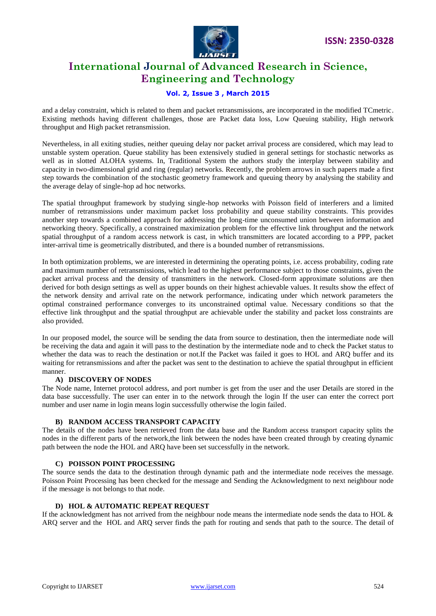

## **Vol. 2, Issue 3 , March 2015**

and a delay constraint, which is related to them and packet retransmissions, are incorporated in the modified TCmetric. Existing methods having different challenges, those are Packet data loss, Low Queuing stability, High network throughput and High packet retransmission.

Nevertheless, in all exiting studies, neither queuing delay nor packet arrival process are considered, which may lead to unstable system operation. Queue stability has been extensively studied in general settings for stochastic networks as well as in slotted ALOHA systems. In, Traditional System the authors study the interplay between stability and capacity in two-dimensional grid and ring (regular) networks. Recently, the problem arrows in such papers made a first step towards the combination of the stochastic geometry framework and queuing theory by analysing the stability and the average delay of single-hop ad hoc networks.

The spatial throughput framework by studying single-hop networks with Poisson field of interferers and a limited number of retransmissions under maximum packet loss probability and queue stability constraints. This provides another step towards a combined approach for addressing the long-time unconsumed union between information and networking theory. Specifically, a constrained maximization problem for the effective link throughput and the network spatial throughput of a random access network is cast, in which transmitters are located according to a PPP, packet inter-arrival time is geometrically distributed, and there is a bounded number of retransmissions.

In both optimization problems, we are interested in determining the operating points, i.e. access probability, coding rate and maximum number of retransmissions, which lead to the highest performance subject to those constraints, given the packet arrival process and the density of transmitters in the network. Closed-form approximate solutions are then derived for both design settings as well as upper bounds on their highest achievable values. It results show the effect of the network density and arrival rate on the network performance, indicating under which network parameters the optimal constrained performance converges to its unconstrained optimal value. Necessary conditions so that the effective link throughput and the spatial throughput are achievable under the stability and packet loss constraints are also provided.

In our proposed model, the source will be sending the data from source to destination, then the intermediate node will be receiving the data and again it will pass to the destination by the intermediate node and to check the Packet status to whether the data was to reach the destination or not.If the Packet was failed it goes to HOL and ARQ buffer and its waiting for retransmissions and after the packet was sent to the destination to achieve the spatial throughput in efficient manner.

#### **A) DISCOVERY OF NODES**

The Node name, Internet protocol address, and port number is get from the user and the user Details are stored in the data base successfully. The user can enter in to the network through the login If the user can enter the correct port number and user name in login means login successfully otherwise the login failed.

#### **B) RANDOM ACCESS TRANSPORT CAPACITY**

The details of the nodes have been retrieved from the data base and the Random access transport capacity splits the nodes in the different parts of the network,the link between the nodes have been created through by creating dynamic path between the node the HOL and ARQ have been set successfully in the network.

#### **C) POISSON POINT PROCESSING**

The source sends the data to the destination through dynamic path and the intermediate node receives the message. Poisson Point Processing has been checked for the message and Sending the Acknowledgment to next neighbour node if the message is not belongs to that node.

#### **D) HOL & AUTOMATIC REPEAT REQUEST**

If the acknowledgment has not arrived from the neighbour node means the intermediate node sends the data to HOL & ARQ server and the HOL and ARQ server finds the path for routing and sends that path to the source. The detail of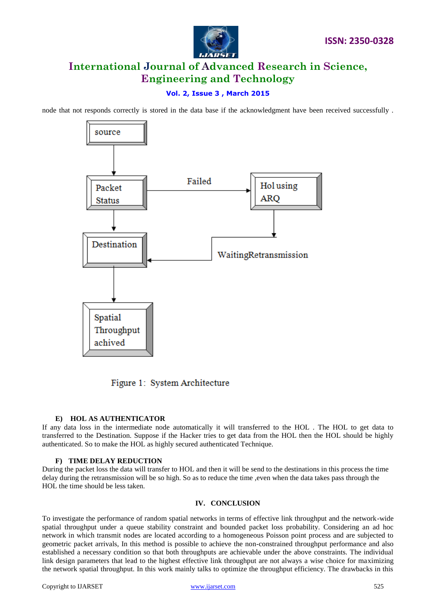

# **Vol. 2, Issue 3 , March 2015**

node that not responds correctly is stored in the data base if the acknowledgment have been received successfully .



Figure 1: System Architecture

## **E) HOL AS AUTHENTICATOR**

If any data loss in the intermediate node automatically it will transferred to the HOL . The HOL to get data to transferred to the Destination. Suppose if the Hacker tries to get data from the HOL then the HOL should be highly authenticated. So to make the HOL as highly secured authenticated Technique.

#### **F) TIME DELAY REDUCTION**

During the packet loss the data will transfer to HOL and then it will be send to the destinations in this process the time delay during the retransmission will be so high. So as to reduce the time ,even when the data takes pass through the HOL the time should be less taken.

#### **IV. CONCLUSION**

To investigate the performance of random spatial networks in terms of effective link throughput and the network-wide spatial throughput under a queue stability constraint and bounded packet loss probability. Considering an ad hoc network in which transmit nodes are located according to a homogeneous Poisson point process and are subjected to geometric packet arrivals, In this method is possible to achieve the non-constrained throughput performance and also established a necessary condition so that both throughputs are achievable under the above constraints. The individual link design parameters that lead to the highest effective link throughput are not always a wise choice for maximizing the network spatial throughput. In this work mainly talks to optimize the throughput efficiency. The drawbacks in this